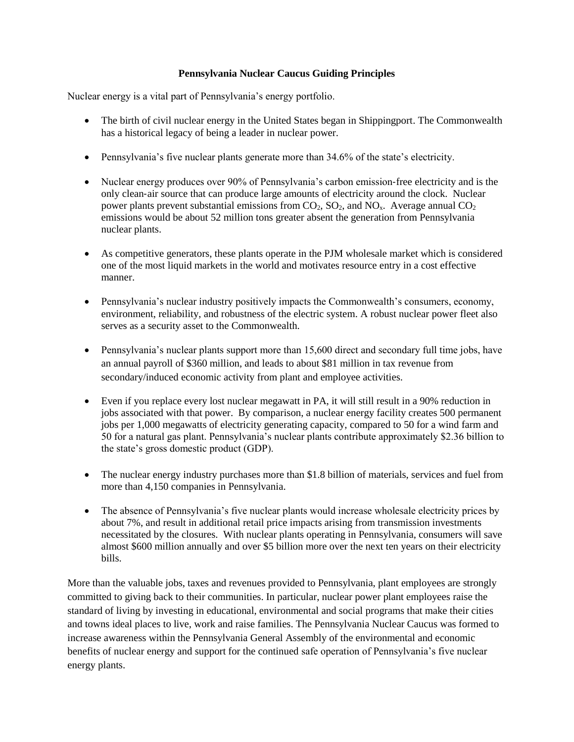## **Pennsylvania Nuclear Caucus Guiding Principles**

Nuclear energy is a vital part of Pennsylvania's energy portfolio.

- The birth of civil nuclear energy in the United States began in Shipping port. The Commonwealth has a historical legacy of being a leader in nuclear power.
- Pennsylvania's five nuclear plants generate more than 34.6% of the state's electricity.
- Nuclear energy produces over 90% of Pennsylvania's carbon emission-free electricity and is the only clean‐air source that can produce large amounts of electricity around the clock. Nuclear power plants prevent substantial emissions from  $CO<sub>2</sub>$ ,  $SO<sub>2</sub>$ , and  $NO<sub>x</sub>$ . Average annual  $CO<sub>2</sub>$ emissions would be about 52 million tons greater absent the generation from Pennsylvania nuclear plants.
- As competitive generators, these plants operate in the PJM wholesale market which is considered one of the most liquid markets in the world and motivates resource entry in a cost effective manner.
- Pennsylvania's nuclear industry positively impacts the Commonwealth's consumers, economy, environment, reliability, and robustness of the electric system. A robust nuclear power fleet also serves as a security asset to the Commonwealth.
- Pennsylvania's nuclear plants support more than 15,600 direct and secondary full time jobs, have an annual payroll of \$360 million, and leads to about \$81 million in tax revenue from secondary/induced economic activity from plant and employee activities.
- Even if you replace every lost nuclear megawatt in PA, it will still result in a 90% reduction in jobs associated with that power. By comparison, a nuclear energy facility creates 500 permanent jobs per 1,000 megawatts of electricity generating capacity, compared to 50 for a wind farm and 50 for a natural gas plant. Pennsylvania's nuclear plants contribute approximately \$2.36 billion to the state's gross domestic product (GDP).
- The nuclear energy industry purchases more than \$1.8 billion of materials, services and fuel from more than 4,150 companies in Pennsylvania.
- The absence of Pennsylvania's five nuclear plants would increase wholesale electricity prices by about 7%, and result in additional retail price impacts arising from transmission investments necessitated by the closures. With nuclear plants operating in Pennsylvania, consumers will save almost \$600 million annually and over \$5 billion more over the next ten years on their electricity bills.

More than the valuable jobs, taxes and revenues provided to Pennsylvania, plant employees are strongly committed to giving back to their communities. In particular, nuclear power plant employees raise the standard of living by investing in educational, environmental and social programs that make their cities and towns ideal places to live, work and raise families. The Pennsylvania Nuclear Caucus was formed to increase awareness within the Pennsylvania General Assembly of the environmental and economic benefits of nuclear energy and support for the continued safe operation of Pennsylvania's five nuclear energy plants.